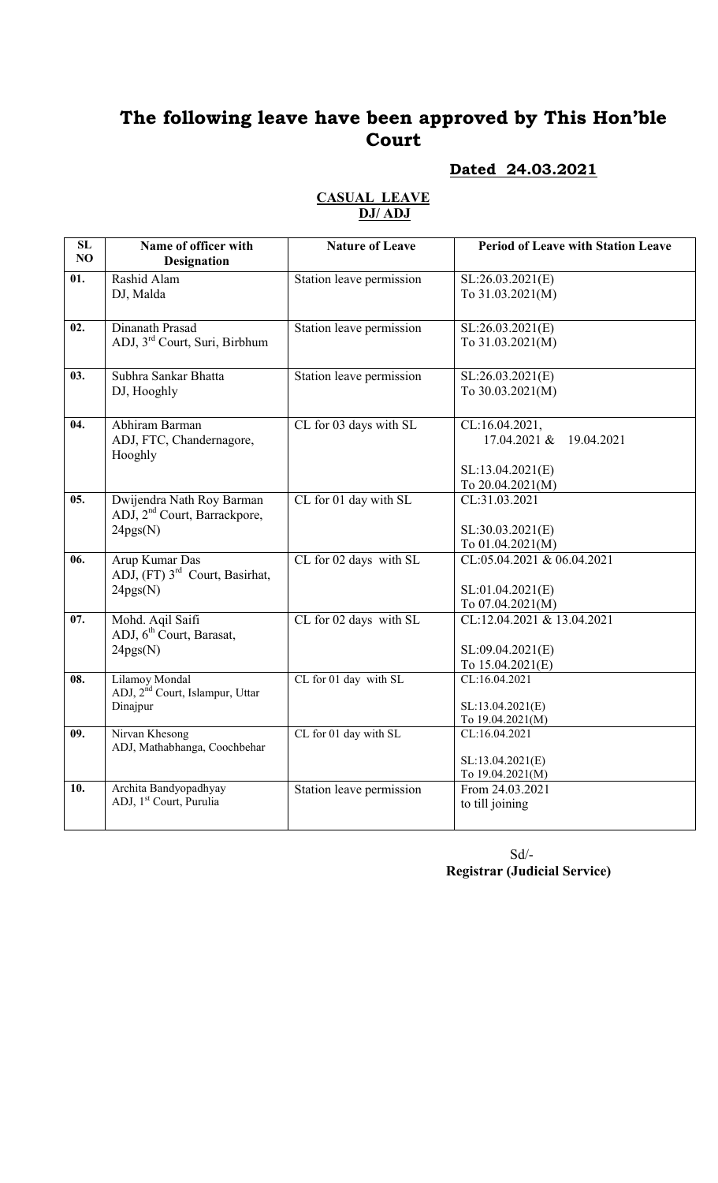# The following leave have been approved by This Hon'ble Court

### Dated 24.03.2021

| SL                | Name of officer with                                     | <b>Nature of Leave</b>   | <b>Period of Leave with Station Leave</b> |
|-------------------|----------------------------------------------------------|--------------------------|-------------------------------------------|
| NO                | <b>Designation</b>                                       |                          |                                           |
| 01.               | Rashid Alam                                              | Station leave permission | SL:26.03.2021(E)                          |
|                   | DJ, Malda                                                |                          | To 31.03.2021(M)                          |
|                   |                                                          |                          |                                           |
| 02.               | Dinanath Prasad                                          | Station leave permission | SL:26.03.2021(E)                          |
|                   | ADJ, 3rd Court, Suri, Birbhum                            |                          | To 31.03.2021(M)                          |
|                   |                                                          |                          |                                           |
| 03.               | Subhra Sankar Bhatta                                     | Station leave permission | SL:26.03.2021(E)                          |
|                   | DJ, Hooghly                                              |                          | To 30.03.2021(M)                          |
|                   |                                                          |                          |                                           |
| $\overline{04.}$  | Abhiram Barman                                           | CL for 03 days with SL   | CL:16.04.2021,                            |
|                   | ADJ, FTC, Chandernagore,                                 |                          | 17.04.2021 &<br>19.04.2021                |
|                   | Hooghly                                                  |                          |                                           |
|                   |                                                          |                          | SL:13.04.2021(E)                          |
|                   |                                                          |                          | To 20.04.2021(M)                          |
| $\overline{05}$ . | Dwijendra Nath Roy Barman                                | CL for 01 day with SL    | CL:31.03.2021                             |
|                   | ADJ, 2 <sup>nd</sup> Court, Barrackpore,                 |                          |                                           |
|                   | 24pgs(N)                                                 |                          | SL:30.03.2021(E)                          |
|                   |                                                          |                          | To 01.04.2021(M)                          |
| $\overline{06}$ . | Arup Kumar Das                                           | CL for 02 days with SL   | CL:05.04.2021 & 06.04.2021                |
|                   | ADJ, (FT) 3 <sup>rd</sup> Court, Basirhat,               |                          |                                           |
|                   | 24pgs(N)                                                 |                          | SL:01.04.2021(E)                          |
|                   |                                                          |                          | To 07.04.2021(M)                          |
| 07.               | Mohd. Aqil Saifi<br>ADJ, 6 <sup>th</sup> Court, Barasat, | CL for 02 days with SL   | CL:12.04.2021 & 13.04.2021                |
|                   | 24pgs(N)                                                 |                          | SL:09.04.2021(E)                          |
|                   |                                                          |                          | To 15.04.2021(E)                          |
| 08.               | Lilamoy Mondal                                           | CL for 01 day with SL    | CL:16.04.2021                             |
|                   | ADJ, 2 <sup>nd</sup> Court, Islampur, Uttar              |                          |                                           |
|                   | Dinajpur                                                 |                          | SL:13.04.2021(E)                          |
|                   |                                                          |                          | To 19.04.2021(M)                          |
| 09.               | Nirvan Khesong                                           | CL for 01 day with SL    | CL:16.04.2021                             |
|                   | ADJ, Mathabhanga, Coochbehar                             |                          |                                           |
|                   |                                                          |                          | SL:13.04.2021(E)<br>To 19.04.2021(M)      |
| 10.               | Archita Bandyopadhyay                                    | Station leave permission | From 24.03.2021                           |
|                   | ADJ, 1 <sup>st</sup> Court, Purulia                      |                          | to till joining                           |
|                   |                                                          |                          |                                           |
|                   |                                                          |                          |                                           |

#### CASUAL LEAVE DJ/ ADJ

 Sd/- Registrar (Judicial Service)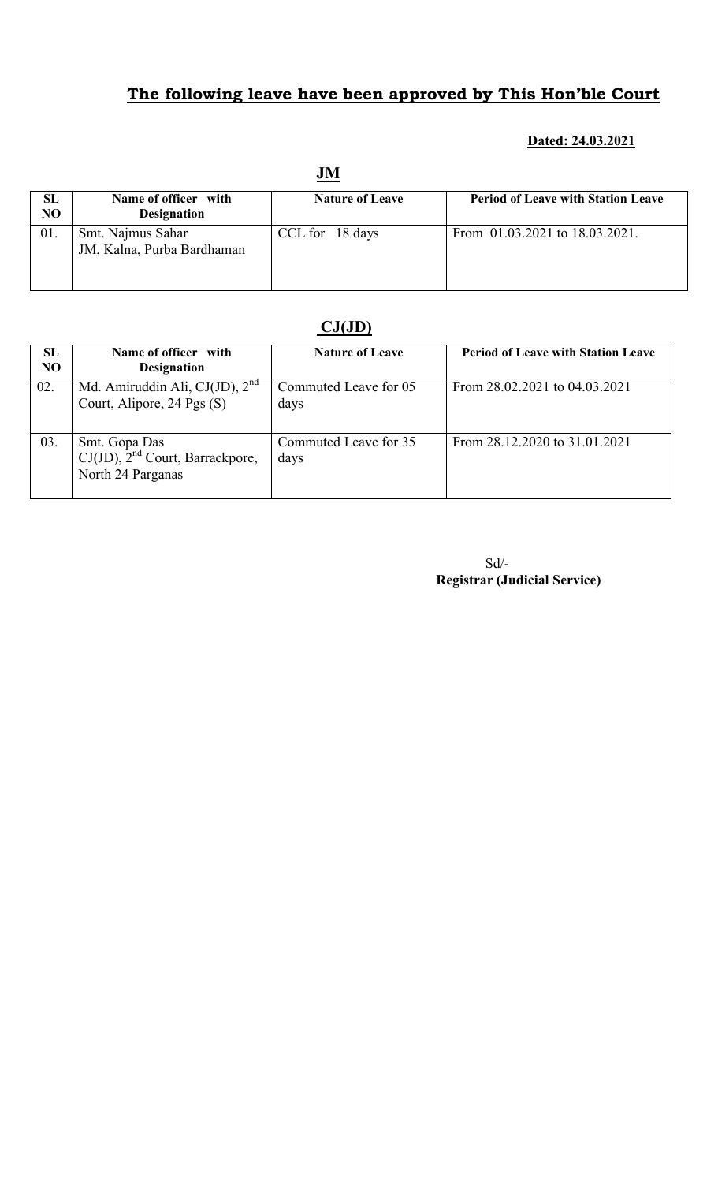## The following leave have been approved by This Hon'ble Court

#### Dated: 24.03.2021

|                      | JM                                              |                        |                                           |  |  |
|----------------------|-------------------------------------------------|------------------------|-------------------------------------------|--|--|
| SL<br>N <sub>O</sub> | Name of officer with<br><b>Designation</b>      | <b>Nature of Leave</b> | <b>Period of Leave with Station Leave</b> |  |  |
| 01.                  | Smt. Najmus Sahar<br>JM, Kalna, Purba Bardhaman | CCL for 18 days        | From 01.03.2021 to 18.03.2021.            |  |  |

### $CJ(JD)$

| SL<br>N <sub>O</sub> | Name of officer with<br><b>Designation</b>                                 | <b>Nature of Leave</b>        | <b>Period of Leave with Station Leave</b> |
|----------------------|----------------------------------------------------------------------------|-------------------------------|-------------------------------------------|
| 02.                  | Md. Amiruddin Ali, CJ(JD), $2nd$<br>Court, Alipore, 24 Pgs (S)             | Commuted Leave for 05<br>days | From 28.02.2021 to 04.03.2021             |
| 03.                  | Smt. Gopa Das<br>$CJ(JD)$ , $2nd$ Court, Barrackpore,<br>North 24 Parganas | Commuted Leave for 35<br>days | From 28.12.2020 to 31.01.2021             |

Sd/- Registrar (Judicial Service)

#### **IM**